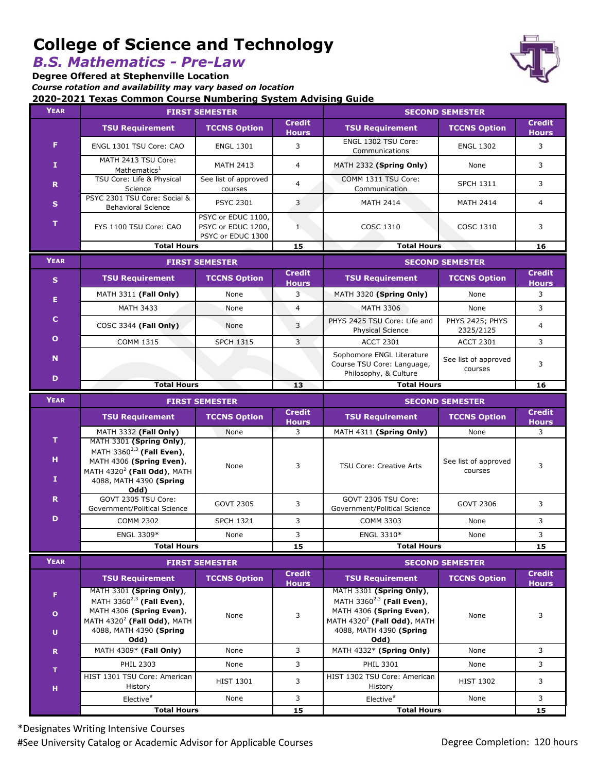# **College of Science and Technology**

*B.S. Mathematics - Pre-Law*

**2020-2021 Texas Common Course Numbering System Advising Guide Degree Offered at Stephenville Location** *Course rotation and availability may vary based on location*

| YEAR              | 2020-2021 Texas Common Course Numbering System Advising Guide<br><b>FIRST SEMESTER</b>                                                                     |                                                               | <b>SECOND SEMESTER</b>        |                                                                                                                          |                                 |                               |
|-------------------|------------------------------------------------------------------------------------------------------------------------------------------------------------|---------------------------------------------------------------|-------------------------------|--------------------------------------------------------------------------------------------------------------------------|---------------------------------|-------------------------------|
|                   | <b>Credit</b>                                                                                                                                              |                                                               |                               | <b>Credit</b>                                                                                                            |                                 |                               |
|                   | <b>TSU Requirement</b>                                                                                                                                     | <b>TCCNS Option</b>                                           | <b>Hours</b>                  | <b>TSU Requirement</b>                                                                                                   | <b>TCCNS Option</b>             | <b>Hours</b>                  |
| F                 | ENGL 1301 TSU Core: CAO                                                                                                                                    | <b>ENGL 1301</b>                                              | 3                             | ENGL 1302 TSU Core:<br>Communications                                                                                    | <b>ENGL 1302</b>                | 3                             |
| $\mathbf{I}$      | MATH 2413 TSU Core:<br>Mathematics <sup>1</sup>                                                                                                            | <b>MATH 2413</b>                                              | $\overline{4}$                | MATH 2332 (Spring Only)                                                                                                  | None                            | 3                             |
| $\mathbf R$       | TSU Core: Life & Physical<br>Science                                                                                                                       | See list of approved<br>courses                               | $\overline{4}$                | COMM 1311 TSU Core:<br>Communication                                                                                     | <b>SPCH 1311</b>                | 3                             |
| $\mathbf{s}$      | PSYC 2301 TSU Core: Social &<br><b>Behavioral Science</b>                                                                                                  | <b>PSYC 2301</b>                                              | 3                             | <b>MATH 2414</b>                                                                                                         | <b>MATH 2414</b>                | $\overline{4}$                |
| T.                | FYS 1100 TSU Core: CAO                                                                                                                                     | PSYC or EDUC 1100,<br>PSYC or EDUC 1200,<br>PSYC or EDUC 1300 | $\mathbf{1}$                  | <b>COSC 1310</b>                                                                                                         | COSC 1310                       | 3                             |
|                   | <b>Total Hours</b>                                                                                                                                         |                                                               | 15                            | <b>Total Hours</b>                                                                                                       |                                 | 16                            |
| <b>YEAR</b>       | <b>FIRST SEMESTER</b>                                                                                                                                      |                                                               |                               | <b>SECOND SEMESTER</b>                                                                                                   |                                 |                               |
| $\mathbf{s}$      | <b>TSU Requirement</b>                                                                                                                                     | <b>TCCNS Option</b>                                           | <b>Credit</b><br><b>Hours</b> | <b>TSU Requirement</b>                                                                                                   | <b>TCCNS Option</b>             | <b>Credit</b><br><b>Hours</b> |
| Е                 | MATH 3311 (Fall Only)                                                                                                                                      | None                                                          | 3                             | MATH 3320 (Spring Only)                                                                                                  | None                            | 3                             |
|                   | <b>MATH 3433</b>                                                                                                                                           | None                                                          | $\overline{4}$                | <b>MATH 3306</b>                                                                                                         | None                            | 3                             |
| c                 | COSC 3344 (Fall Only)                                                                                                                                      | None                                                          | 3                             | PHYS 2425 TSU Core: Life and<br><b>Physical Science</b>                                                                  | PHYS 2425; PHYS<br>2325/2125    | 4                             |
| $\mathbf{o}$      | <b>COMM 1315</b>                                                                                                                                           | <b>SPCH 1315</b>                                              | 3                             | <b>ACCT 2301</b>                                                                                                         | <b>ACCT 2301</b>                | 3                             |
| N                 |                                                                                                                                                            |                                                               |                               | Sophomore ENGL Literature<br>Course TSU Core: Language,<br>Philosophy, & Culture                                         | See list of approved<br>courses | 3                             |
| D                 | <b>Total Hours</b>                                                                                                                                         |                                                               | 13                            | <b>Total Hours</b>                                                                                                       |                                 | 16                            |
| <b>YEAR</b>       | <b>FIRST SEMESTER</b>                                                                                                                                      |                                                               |                               | <b>SECOND SEMESTER</b>                                                                                                   |                                 |                               |
|                   |                                                                                                                                                            |                                                               |                               |                                                                                                                          |                                 |                               |
|                   | <b>TSU Requirement</b>                                                                                                                                     | <b>TCCNS Option</b>                                           | <b>Credit</b><br><b>Hours</b> | <b>TSU Requirement</b>                                                                                                   | <b>TCCNS Option</b>             | <b>Credit</b><br><b>Hours</b> |
|                   | MATH 3332 (Fall Only)                                                                                                                                      | None                                                          | 3                             | MATH 4311 (Spring Only)                                                                                                  | None                            | 3                             |
| T.<br>н<br>I.     | MATH 3301 (Spring Only),<br>MATH 3360 <sup>2,3</sup> (Fall Even),<br>MATH 4306 (Spring Even),<br>MATH $4320^2$ (Fall Odd), MATH<br>4088, MATH 4390 (Spring | None                                                          | 3                             | <b>TSU Core: Creative Arts</b>                                                                                           | See list of approved<br>courses | 3                             |
| R                 | Odd)<br>GOVT 2305 TSU Core:                                                                                                                                | <b>GOVT 2305</b>                                              | 3                             | GOVT 2306 TSU Core:                                                                                                      | GOVT 2306                       | 3                             |
| D                 | Government/Political Science                                                                                                                               |                                                               |                               | Government/Political Science                                                                                             |                                 |                               |
|                   | <b>COMM 2302</b>                                                                                                                                           | <b>SPCH 1321</b>                                              | 3                             | <b>COMM 3303</b>                                                                                                         | None                            | 3                             |
|                   | ENGL 3309*<br><b>Total Hours</b>                                                                                                                           | None                                                          | 3<br>15                       | ENGL 3310*<br><b>Total Hours</b>                                                                                         | None                            | 3<br>15                       |
|                   |                                                                                                                                                            |                                                               |                               |                                                                                                                          |                                 |                               |
| <b>YEAR</b>       |                                                                                                                                                            | <b>FIRST SEMESTER</b>                                         |                               |                                                                                                                          | <b>SECOND SEMESTER</b>          |                               |
| F.                | <b>TSU Requirement</b><br>MATH 3301 (Spring Only),                                                                                                         | <b>TCCNS Option</b>                                           | <b>Credit</b><br><b>Hours</b> | <b>TSU Requirement</b><br>MATH 3301 (Spring Only),                                                                       | <b>TCCNS Option</b>             | <b>Credit</b><br><b>Hours</b> |
| $\mathbf{o}$<br>U | MATH 3360 $^{2,3}$ (Fall Even),<br>MATH 4306 (Spring Even),<br>MATH $4320^2$ (Fall Odd), MATH<br>4088, MATH 4390 (Spring                                   | None                                                          | 3                             | MATH 3360 $^{2,3}$ (Fall Even),<br>MATH 4306 (Spring Even),<br>MATH $4320^2$ (Fall Odd), MATH<br>4088, MATH 4390 (Spring | None                            | 3                             |
|                   | Odd)                                                                                                                                                       |                                                               |                               | <b>Odd</b> )                                                                                                             |                                 |                               |
| $\mathbf R$       | MATH 4309* (Fall Only)<br><b>PHIL 2303</b>                                                                                                                 | None<br>None                                                  | 3<br>3                        | MATH 4332* (Spring Only)<br>PHIL 3301                                                                                    | None<br>None                    | 3<br>3                        |
| $\mathbf T$       | HIST 1301 TSU Core: American                                                                                                                               | <b>HIST 1301</b>                                              | 3                             | HIST 1302 TSU Core: American                                                                                             | <b>HIST 1302</b>                | 3                             |
| н                 | History<br>$Elective^*$                                                                                                                                    | None                                                          | 3                             | History<br>$Elective^*$                                                                                                  | None                            | 3                             |

\*Designates Writing Intensive Courses #See University Catalog or Academic Advisor for Applicable Courses **Degree Completion: 120 hours** Degree Completion: 120 hours